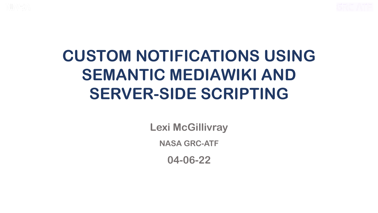



## **CUSTOM NOTIFICATIONS USING SEMANTIC MEDIAWIKI AND SERVER-SIDE SCRIPTING**

**Lexi McGillivray**

**NASA GRC-ATF**

**04-06-22**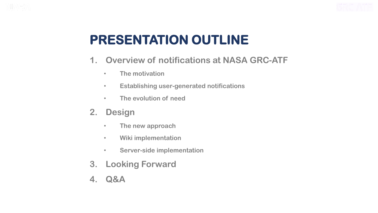



#### **PRESENTATION OUTLINE**

- **1. Overview of notifications at NASA GRC-ATF**
	- **The motivation**
	- **Establishing user-generated notifications**
	- **The evolution of need**
- **2. Design**
	- **The new approach**
	- **Wiki implementation**
	- **Server-side implementation**
- **3. Looking Forward**
- **4. Q&A**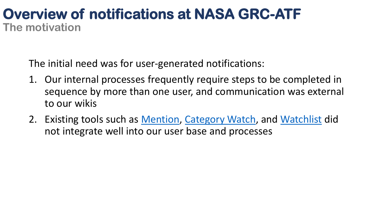#### **Overview of notifications at NASA GRC-ATF The motivation**

The initial need was for user-generated notifications:

- 1. Our internal processes frequently require steps to be completed in sequence by more than one user, and communication was external to our wikis
- 2. Existing tools such as [Mention,](https://www.mediawiki.org/wiki/Help:Notifications/Mention) [Category Watch,](https://www.mediawiki.org/wiki/Extension:CategoryWatch) and [Watchlist](https://www.mediawiki.org/wiki/Manual:Watchlist) did not integrate well into our user base and processes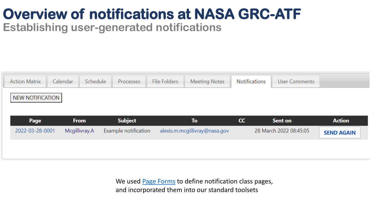## **Overview of notifications at NASA GRC-ATF**

**Establishing user-generated notifications**



We used **Page Forms** to define notification class pages, and incorporated them into our standard toolsets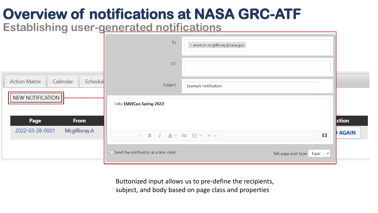## **Overview of notifications at NASA GRC-ATF**

**Establishing user-generated notifications**

|                                                         | To:                                               | x alexis.m.mcgillivray@nasa.gov |                                        |                       |
|---------------------------------------------------------|---------------------------------------------------|---------------------------------|----------------------------------------|-----------------------|
|                                                         | CC:                                               |                                 |                                        |                       |
| Schedul<br>Calendar<br><b>Action Matrix</b>             | Subject:                                          | Example notification            |                                        |                       |
| NEW NOTIFICATION                                        | Hello EMWCon Spring 2022!                         |                                 |                                        |                       |
| <b>From</b><br>Page<br>Mcgillivray.A<br>2022-03-28-0001 |                                                   |                                 |                                        | ction<br><b>AGAIN</b> |
|                                                         | $\vee$ B $I$ $A \vee \infty$ $\equiv \vee + \vee$ |                                 | [[ ] ]                                 |                       |
|                                                         | $\Box$ Send the notification at a later date?     |                                 | Talk page post type: Topic $\ \cdot\ $ |                       |

Buttonized input allows us to pre-define the recipients, subject, and body based on page class and properties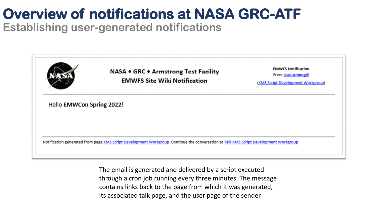#### **Overview of notifications at NASA GRC-ATF Establishing user-generated notifications**



The email is generated and delivered by a script executed through a cron job running every three minutes. The message contains links back to the page from which it was generated, its associated talk page, and the user page of the sender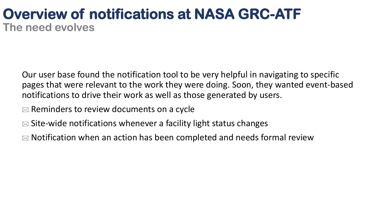#### **Overview of notifications at NASA GRC-ATF The need evolves**

Our user base found the notification tool to be very helpful in navigating to specific pages that were relevant to the work they were doing. Soon, they wanted event-based notifications to drive their work as well as those generated by users.

 $\mathbb{R}$  Reminders to review documents on a cycle

 $\mathbb{Z}$  Site-wide notifications whenever a facility light status changes

 $\mathbb{R}$  Notification when an action has been completed and needs formal review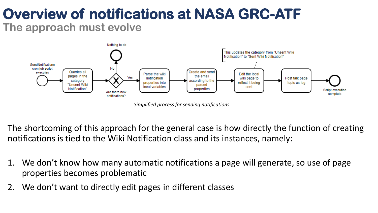#### **Overview of notifications at NASA GRC-ATF The approach must evolve**



*Simplified process for sending notifications*

The shortcoming of this approach for the general case is how directly the function of creating notifications is tied to the Wiki Notification class and its instances, namely:

- 1. We don't know how many automatic notifications a page will generate, so use of page properties becomes problematic
- 2. We don't want to directly edit pages in different classes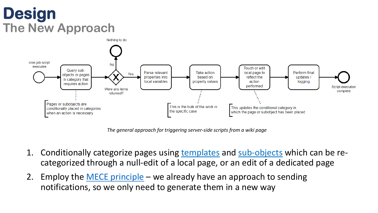### **Design The New Approach**



*The general approach for triggering server-side scripts from a wiki page*

- 1. Conditionally categorize pages using [templates](https://en.wikipedia.org/wiki/Help:A_quick_guide_to_templates) and [sub-objects](https://www.semantic-mediawiki.org/wiki/Subobject) which can be recategorized through a null-edit of a local page, or an edit of a dedicated page
- 2. Employ the [MECE principle](https://en.wikipedia.org/wiki/MECE_principle) we already have an approach to sending notifications, so we only need to generate them in a new way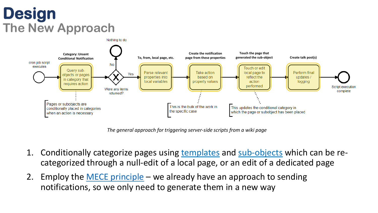## **Design The New Approach**



*The general approach for triggering server-side scripts from a wiki page*

- 1. Conditionally categorize pages using [templates](https://en.wikipedia.org/wiki/Help:A_quick_guide_to_templates) and [sub-objects](https://www.semantic-mediawiki.org/wiki/Subobject) which can be recategorized through a null-edit of a local page, or an edit of a dedicated page
- 2. Employ the [MECE principle](https://en.wikipedia.org/wiki/MECE_principle) we already have an approach to sending notifications, so we only need to generate them in a new way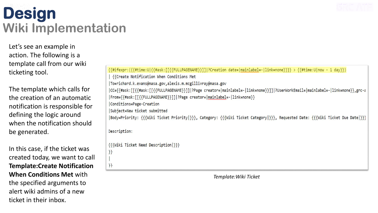### **Design Wiki Implementation**

Let's see an example in action. The following is a template call from our wiki ticketing tool.

The template which calls for the creation of an automatic notification is responsible for defining the logic around when the notification should be generated.

In this case, if the ticket was created today, we want to call **Template:Create Notification When Conditions Met** with the specified arguments to alert wiki admins of a new ticket in their inbox.

|              | {{#itexpr:({{#time:U {{#ask:  {{FULLPAGENAME}}   ?Creation date= mainlabel=- link=none}}}} > {{#time:U now - 1 day}})                   |
|--------------|-----------------------------------------------------------------------------------------------------------------------------------------|
|              | {{Create Notification When Conditions Met                                                                                               |
|              | To=richard.k.evans@nasa.gov,alexis.m.mcgillivray@nasa.gov                                                                               |
|              | CC={{#ask:[[{{#ask:[[{{#ask:[[{[FULLPAGENAME}}]] ?Page creator= mainlabel=- link=none}}]] ?UserWorkEmail= mainlabel=- link=none}},grc-a |
|              | From={{#ask:[[{{FULLPAGENAME}}]] ?Page creator= mainlabel=- link=none}}                                                                 |
|              | Conditions=Page-Creation                                                                                                                |
|              | Subject=New ticket submitted                                                                                                            |
|              | [80dy=Priority: {{{Wiki Ticket Priority }}}, Category: {{{Wiki Ticket Category }}}, Requested Date: {{{Wiki Ticket Due Date }}          |
| Description: |                                                                                                                                         |
|              | {{{Wiki Ticket Need Description }}}                                                                                                     |
| }}           |                                                                                                                                         |
|              |                                                                                                                                         |
| $\}$         |                                                                                                                                         |

 $\mathcal{L}(\mathcal{L}(\mathcal{L}(\mathcal{L}(\mathcal{L}(\mathcal{L}(\mathcal{L}(\mathcal{L}(\mathcal{L}(\mathcal{L}(\mathcal{L}(\mathcal{L}(\mathcal{L}(\mathcal{L}(\mathcal{L}(\mathcal{L}(\mathcal{L}(\mathcal{L}(\mathcal{L}(\mathcal{L}(\mathcal{L}(\mathcal{L}(\mathcal{L}(\mathcal{L}(\mathcal{L}(\mathcal{L}(\mathcal{L}(\mathcal{L}(\mathcal{L}(\mathcal{L}(\mathcal{L}(\mathcal{L}(\mathcal{L}(\mathcal{L}(\mathcal{L}(\mathcal{L}(\mathcal{$ 

*Template:Wiki Ticket*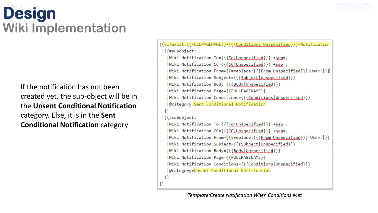## **Design Wiki Implementation**

If the notification has not been created yet, the sub-object will be in the **Unsent Conditional Notification**  category. Else, it is in the **Sent Conditional Notification** category

```
[{#ifexist:{{FULLPAGENAME}}-{{{Conditions|Unspecified}}}-Notification
\frac{1}{3} { \frac{4}{3} subobject:
   |Wiki Notification To={{{To|Unspecified}}}|+sep=,
   |Wiki Notification CC={{{CC|Unspecified}}}|+sep=,
   |Wiki Notification From={{#replace:{{{From|Unspecified}}}|User:|}}|
   |Wiki Notification Subject={{{Subject|Unspecified}}}
   |Wiki Notification Body={{{Body|Unspecified}}}
   |Wiki Notification Page={{FULLPAGENAME}}
   |Wiki Notification Conditions={{{Conditions|Unspecified}}}
  |@category=Sent Conditional Notification
 \}\left| {\{Hsubobject: \right. } \right||Wiki Notification To={{{To|Unspecified}}}|+sep=,
   |Wiki Notification CC={{{CC|Unspecified}}}|+sep=,
   |Wiki Notification From={{#replace:{{{From|Unspecified}}}|User:|}}
   |Wiki Notification Subject={{{Subject|Unspecified}}}
   |Wiki Notification Body={{{Body|Unspecified}}}
   |Wiki Notification Page={{FULLPAGENAME}}
  |Wiki Notification Conditions={{{Conditions|Unspecified}}}
  |@category=Unsent Conditional Notification
 \}}}
```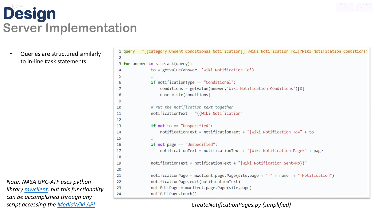• Queries are structured similarly to in-line #ask statements

*Note: NASA GRC-ATF uses python library [mwclient](https://github.com/mwclient/mwclient), but this functionality can be accomplished through any script accessing the [MediaWiki](https://www.mediawiki.org/wiki/API:Main_page) API*

```
1 query = "[[Category:Unsent Conditional Notification]]]?Wiki Notification To...|?Wiki Notification Conditions'
 \overline{2}3 for answer in site.ask(query):
               to = getValue(answer, 'Wiki Notification To')
 \overline{4}5
               if notificationType == "Conditional":
 6
                   conditions = getValue(answer, Wiki Notification Conditions')[0]
 7
                   name = str(conditions)8
 9
               # Put the notification text together
10
               notificationText = "{{Wiki Notification"
11
12if not to == "Unspecified":
13notificationText = notificationText + "|Wiki Notification To=" + to
14
15
               if not page == "Unspecified":
16
                   notificationText = notificationText + "|Wiki Notification Page=" + page
17
18
               notificationText = notificationText + "|Wiki Notification Sent=No}}"
19
20
               notificationPage = mwclient.parse, Page(side, page + " -" + name + "-Notification")21
               notificationPage.edit(notificationText)
22nullEditPage = mwclient.page.Page(site,page)
23
               nullEditPage.touch()
24
```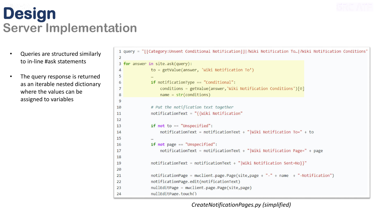- Queries are structured similarly to in-line #ask statements
- The query response is returned as an iterable nested dictionary where the values can be assigned to variables

1 query = "[[Category:Unsent Conditional Notification]]]?Wiki Notification To...|?Wiki Notification Conditions"  $\overline{2}$ 3 for answer in site.ask(query): to = getValue(answer, 'Wiki Notification To')  $\overline{4}$ 5 **if** notificationType == "Conditional": 6 conditions = getValue(answer, Wiki Notification Conditions')[0]  $\overline{7}$  $name = str(conditions)$ 8  $\mathbf{Q}$ # Put the notification text together 10 notificationText = "{{Wiki Notification" 11  $12$ if not to  $==$  "Unspecified":  $13$ notificationText = notificationText + "|Wiki Notification To=" + to 14 15 if not page  $==$  "Unspecified": 16 notificationText = notificationText + "|Wiki Notification Page=" + page 17 18 notificationText = notificationText + "|Wiki Notification Sent=No}}" 19 20  $notificationPage = mwclient.parse, Page(side, page + " -" + name + "-Notification")$ 21 notificationPage.edit(notificationText)  $22$ nullEditPage = mwclient.page.Page(site,page) 23 nullEditPage.touch() 24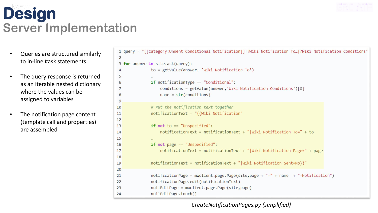- Queries are structured similarly to in-line #ask statements
- The query response is returned as an iterable nested dictionary where the values can be assigned to variables
- The notification page content (template call and properties) are assembled

```
1 query = "[[Category:Unsent Conditional Notification]]]?Wiki Notification To...|?Wiki Notification Conditions"
 \overline{2}3 for answer in site.ask(query):
               to = getValue(answer, 'Wiki Notification To')
 \overline{4}5
               if notificationType == "Conditional":
 6
                    conditions = getValue(answer, Wiki Notification Conditions')[0]
 \overline{7}name = str(conditions)8
 \mathbf{Q}# Put the notification text together
10
               notificationText = "{{Wiki Notification"
11
12if not to == "Unspecified":
13
                    notificationText = notificationText + "|Wiki Notification To=" + to
14
15
               if not page == "Unspecified":
16
                    notificationText = notificationText + "|Wiki Notification Page=" + page"17
18
               notificationText = notificationText + "|Wiki Notification Sent=No}}"
19
20
               notificationPage = mwclient.parse, Page(side, page + " -" + name + "-Notification")21
               notificationPage.edit(notificationText)
22nullEditPage = mwclient.page.Page(site,page)
23
               nullEditPage.touch()
24
```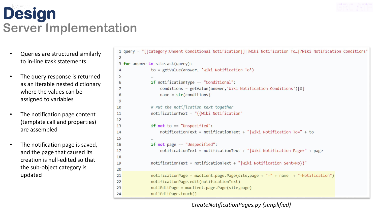- Queries are structured similarly to in-line #ask statements
- The query response is returned as an iterable nested dictionary where the values can be assigned to variables
- The notification page content (template call and properties) are assembled
- The notification page is saved, and the page that caused its creation is null-edited so that the sub-object category is updated

```
1 query = "[[Category:Unsent Conditional Notification]]]?Wiki Notification To...|?Wiki Notification Conditions"
 \overline{2}3 for answer in site.ask(query):
               to = getValue(answer, 'Wiki Notification To')
 \overline{4}5
               if notificationType == "Conditional":
 6
                    conditions = getValue(answer, Wiki Notification Conditions')[0]
 \overline{7}name = str(conditions)8
 \mathbf{Q}# Put the notification text together
10
               notificationText = "{{Wiki Notification"
11
12if not to == "Unspecified":
13notificationText = notificationText + "|Wiki Notification To=" + to
14
15
               if not page == "Unspecified":
16
                    notificationText = notificationText + "|Wiki Notification Page=" + page
17
18
               notificationText = notificationText + "|Wiki Notification Sent=No}}"
19
20
               notificationPage = mwclient.page.Page(site,page + "-" + name + "-Notification")
21
               notificationPage.edit(notificationText)
2223nullEditPage = mwclient.page.Page(site,page)
               nullEditPage.touch()
24
```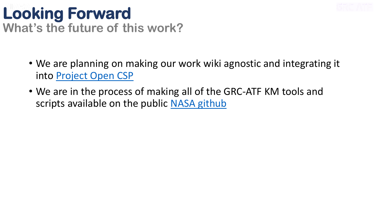

#### **Looking Forward What's the future of this work?**

- We are planning on making our work wiki agnostic and integrating it into [Project Open CSP](https://www.mediawiki.org/wiki/Project_Open_CSP)
- We are in the process of making all of the GRC-ATF KM tools and scripts available on the public [NASA github](https://github.com/nasa/grc-atf-kms-tools)